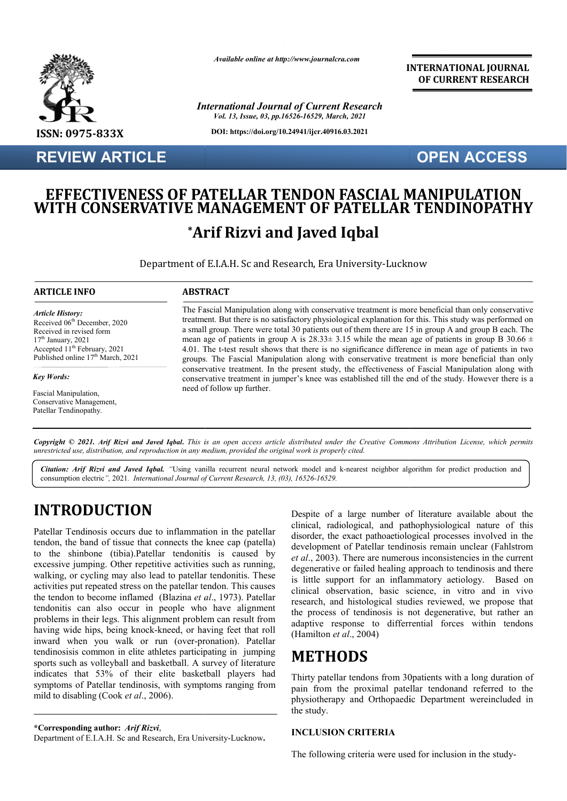

**REVIEW ARTICLE**

*Available online at http://www.journalcra.com*

*International Journal of Current Research Vol. 13, Issue, 03, pp.16526-16529, March, 2021*

**DOI: https://doi.org/10.24941/ijcr.40916.03.2021**

#### **INTERNATIONAL JOURNAL OF CURRENT RESEARCH**

### **OPEN ACCESS**

# **EFFECTIVENESS OF PATELLAR TENDON FASCIAL MANIPULATION WITH CONSERVATIVE MANAGEMENT OF PATELLAR TENDINOPATHY WITH \*Arif Rizvi and Javed Iqbal Arif**

Department of E.I.A.H. Sc and Research, Era University-Lucknow Lucknow

#### **ARTICLE INFO ABSTRACT**

*Article History: Article History:* Received 06<sup>th</sup> December, 2020 Received in revised form Received in revised form  $17<sup>th</sup> January, 2021$ Accepted  $11<sup>th</sup>$  February, 2021 Published online  $17<sup>th</sup>$  March, 2021

#### *Key Words: Key Words:*

Fascial Manipulation, Pascial Mampulation,<br>Conservative Management, **Conservative Manager**.<br>Patellar Tendinopathy.

The Fascial Manipulation along with conservative treatment is more beneficial than only conservative The Fascial Manipulation along with conservative treatment is more beneficial than only conservative treatment. But there is no satisfactory physiological explanation for this. This study was performed on a small group. There were total 30 patients out of them there are 15 in group A and group B each. The mean age of patients in group A is  $28.33 \pm 3.15$  while the mean age of patients in group B 30.66  $\pm$ 4.01. The t t-test result shows that there is no significance difference in mean age of patients in two groups. The Fascial Manipulation along with conservative treatment is more beneficial than only conservative treatment. In the present study, the effectiveness of Fascial Manipulation along with conservativ conservative treatment in jumper's knee was established till the end of the study. However there is a need of follow up further. *(03))*<br> **(167)**<br> **(167)**<br> **(167)**<br> **(167)**<br> **(167)**<br> **(167)**<br> **(167)**<br> **(167)**<br> **(168)**<br> **(168)**<br> **(168)**<br> **(168)**<br> **(168)**<br> **(168)**<br> **(168)**<br> **(168)**<br> **(168)**<br> **(168)**<br> **(168)**<br> **(168)**<br> **(168)**<br> **(168)**<br> **(168)**<br> **(168)** a small group. There were total 30 patients out of them there are 15 in group A and group B each. Th<br>mean age of patients in group A is 28.33± 3.15 while the mean age of patients in group B 30.66<br>4.01. The t-test result sh

Copyright © 2021. Arif Rizvi and Javed Iqbal. This is an open access article distributed under the Creative Commons Attribution License, which permits *unrestricted use, distribution, and reproduction in any medium, provided the original work is properly cited.*

consumption electric<sup>"</sup>, 2021*. International Journal of Current Research, 13, (03), 16526-16529.* Citation: Arif Rizvi and Javed Iqbal. "Using vanilla recurrent neural network model and k-nearest neighbor algorithm for predict production and

# **INTRODUCTION**

Patellar Tendinosis occurs due to inflammation in the patellar tendon, the band of tissue that connects the knee cap (patella) to the shinbone (tibia).Patellar tendonitis is caused by excessive jumping. Other repetitive activities such as running, walking, or cycling may also lead to patellar tendonitis. These activities put repeated stress on the patellar tendon. This causes walking, or cycling may also lead to patellar tendonitis. These activities put repeated stress on the patellar tendon. This causes the tendon to become inflamed (Blazina *et al.*, 1973). Patellar tendonitis can also occur in people who have alignment problems in their legs. This alignment problem can result from having wide hips, being knock-kneed, or having feet that roll inward when you walk or run (over-pronation). Patellar tendinosisis common in elite athletes participating in sports such as volleyball and basketball. A s survey of literature indicates that 53% of their elite basketball players had symptoms of Patellar tendinosis, with symptoms ranging from mild to disabling (Cook *et al*., 2006). in their legs. This alignment problem can result from<br>de hips, being knock-kneed, or having feet that roll<br>then you walk or run (over-pronation). Patellar<br>is common in elite athletes participating in jumping

**\*Corresponding author:** *Arif Rizvi*,

Department of E.I.A.H. Sc and Research, Era University-Lucknow.

Despite of a large number of literature available about the clinical, radiological, and pathophysiological nature of this disorder, the exact pathoaetiological processes involved in the development of Patellar tendinosis remain unclear (Fahlstrom *et al*., 2003). There are numerous inconsistencies in the current degenerative or failed healing approach to tendinosis and there is little support for an inflammatory aetiology. Based on et al., 2003). There are numerous inconsistencies in the current degenerative or failed healing approach to tendinosis and there is little support for an inflammatory aetiology. Based on clinical observation, basic science research, and histological studies reviewed, we propose that the process of tendinosis is not degenerative, but rather an adaptive response to differrential forces within tendons (Hamilton *et al*., 2004) Despite of a large number of literature available about the clinical, radiological, and pathophysiological nature of this disorder, the exact pathoaetiological processes involved in the

### **METHODS**

Thirty patellar tendons from 30patients with a long duration of pain from the proximal patellar tendonand referred to the physiotherapy and Orthopaedic Department wereincluded in the study. istological studies reviewed, we propose that<br>
tendinosis is not degenerative, but rather an<br>
onse to differrential forces within tendons<br>
.., 2004)<br> **DS**<br>
tendons from 30patients with a long duration of<br>
proximal patellar

#### **INCLUSION CRITERIA**

The following criteria were used for inclusion in the study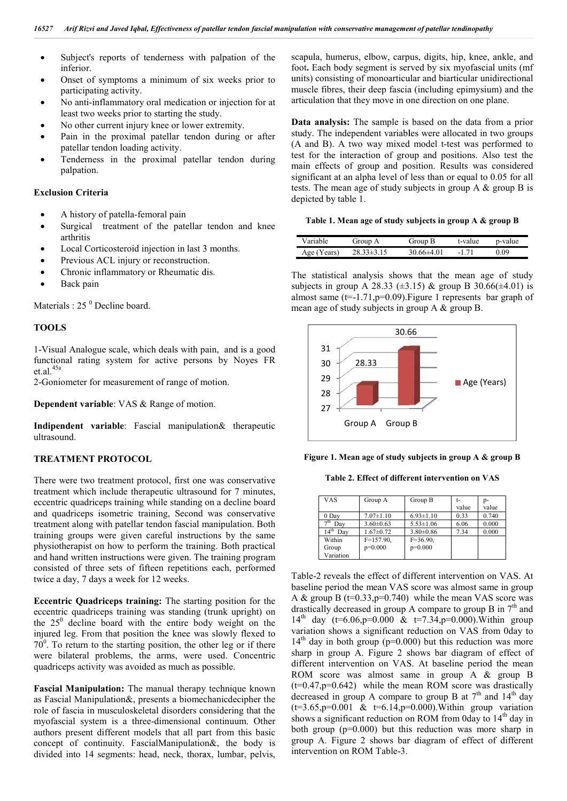- Subject's reports of tenderness with palpation of the inferior.
- Onset of symptoms a minimum of six weeks prior to participating activity.
- No anti-inflammatory oral medication or injection for at least two weeks prior to starting the study.
- No other current injury knee or lower extremity.
- Pain in the proximal patellar tendon during or after patellar tendon loading activity.
- Tenderness in the proximal patellar tendon during palpation.

#### **Exclusion Criteria**

- A history of patella-femoral pain
- Surgical treatment of the patellar tendon and knee arthritis
- Local Corticosteroid injection in last 3 months.
- Previous ACL injury or reconstruction.
- Chronic inflammatory or Rheumatic dis.
- Back pain

Materials :  $25<sup>0</sup>$  Decline board.

#### **TOOLS**

1-Visual Analogue scale, which deals with pain, and is a good functional rating system for active persons by Noyes FR et.al.45a • No anti-inflammatory oral medication on<br>least two weeks prior to starting the stud<br>No other current injury knee or lower ex<br>Pain in the proximal patellar tendon<br>patellar tendon loading activity.<br>Tenderness in the proxim

2-Goniometer for measurement of range of motion.

**Dependent variable:** VAS & Range of motion.

**Indipendent variable**: Fascial manipulation& therapeutic ultrasound.

#### **TREATMENT PROTOCOL**

There were two treatment protocol, first one was conservative treatment which include therapeutic ultrasound for 7 minutes, eccentric quadriceps training while standing on a decline board and quadriceps isometric training, Second was conservative treatment along with patellar tendon fascial manipulation. Both training groups were given careful instructions by the same physiotherapist on how to perform the training. Both practical and hand written instructions were given. The training p program consisted of three sets of fifteen repetitions each, performed twice a day, 7 days a week for 12 weeks.

**Eccentric Quadriceps training:** The starting position for the eccentric quadriceps training was standing (trunk upright) on the  $25^{\circ}$  decline board with the entire body weight on the injured leg. From that position the knee was slowly flexed to  $70^{\circ}$ . To return to the starting position, the other leg or if there were bilateral problems, the arms, were used. Concentric quadriceps activity was avoided as much as possible.

**Fascial Manipulation:** The manual therapy technique known as Fascial Manipulation&, presents a biomechanicdecipher the role of fascia in musculoskeletal disorders considering that the myofascial system is a three-dimensional continuum. Other authors present different models that all part from this basic concept of continuity. FascialManipulation&, the body is divided into 14 segments: head, neck, thorax, lumbar, pelvis,

scapula, humerus, elbow, carpus, digits, hip, knee, ankle, and foot**.** Each body segment is served by six myofascial units (mf units) consisting of monoarticular and biarticular unidirectional muscle fibres, their deep fascia (including epimysium) and the articulation that they move in one direction on one plane. humerus, elbow, carpus, digits, hip, knee, ankle, and h body segment is served by six myofascial units (mf nsisting of monoarticular and biarticular unidirectional ibres, their deep fascia (including epimysium) and the

**Data analysis:** The sample is based on the data from a prior study. The independent variables were allocated in two groups (A and B). A two way mixed model t-test was performed to test for the interaction of group and positions. Also test the main effects of group and position. Results was considered significant at an alpha level of less than or equal to 0.05 for all tests. The mean age of study subjects in group A & group B is depicted by table 1. Data analysis: The sample is based on the data from a prior study. The independent variables were allocated in two groups (A and B). A two way mixed model t-test was performed to raction of group and positions. Also test the group and position. Results was considered alpha level of less than or equal to 0.05 for all age of study subjects in group A  $\&$  group B is

**Table 1. Mean age of study subjects in group A & group B Mean age of study & group** 

| Variable    | Group A     | Group B    | t-value | p-value |
|-------------|-------------|------------|---------|---------|
| Age (Years) | $33\pm3.15$ | 30 66±4 01 |         | ) 09    |

The statistical analysis shows that the mean age of study subjects in group A 28.33 ( $\pm$ 3.15) & group B 30.66( $\pm$ 4.01) is almost same  $(t=1.71, p=0.09)$ . Figure 1 represents bar graph of mean age of study subjects in group A  $\&$  group B. analysis shows that the mean age of study p A 28.33 ( $\pm$ 3.15) & group B 30.66( $\pm$ 4.01) is -1.71,p=0.09). Figure 1 represents bar graph of



**Figure 1. Mean age of study subjects in group A & group B**<br>Table 2. Effect of different intervention on VAS

**Table 2. Effect of different intervention on VAS**

| <b>VAS</b>              | Group A         | Group B         | t-    | p-    |
|-------------------------|-----------------|-----------------|-------|-------|
|                         |                 |                 | value | value |
| 0 Day                   | $7.07 \pm 1.10$ | $6.93 \pm 1.10$ | 0.33  | 0.740 |
| 7 <sup>th</sup><br>Dav  | $3.60 \pm 0.63$ | $5.53 \pm 1.06$ | 6.06  | 0.000 |
| 14 <sup>th</sup><br>Dav | $1.67 \pm 0.72$ | $3.80\pm0.86$   | 7.34  | 0.000 |
| Within                  | $F = 157.90$ ,  | $F = 36.90.$    |       |       |
| Group                   | $p=0.000$       | $p=0.000$       |       |       |
| Variation               |                 |                 |       |       |
|                         |                 |                 |       |       |

Table-2 reveals the effect of different intervention on VAS. At Table-2 reveals the effect of different intervention on VAS. At baseline period the mean VAS score was almost same in group A & group B ( $t=0.33, p=0.740$ ) while the mean VAS score was drastically decreased in group A compare to group B in  $7<sup>th</sup>$  and 14<sup>th</sup> day (t=6.06,p=0.000 & t=7.34,p=0.000). Within group variation shows a significant reduction on VAS from 0day to  $14<sup>th</sup>$  day in both group (p=0.000) but this reduction was more sharp in group A. Figure 2 shows bar diagram of effect of different intervention on VAS. At baseline period the mean ROM score was almost same in group A & group B ROM score was almost same in group A & group B  $(t=0.47, p=0.642)$  while the mean ROM score was drastically decreased in group A compare to group B at  $7<sup>th</sup>$  and  $14<sup>th</sup>$  day  $(t=3.65, p=0.001 \& t=6.14, p=0.000)$ . Within group variation shows a significant reduction on ROM from 0day to 14<sup>th</sup> day in shows a significant reduction on ROM from 0 day to  $14<sup>th</sup>$  day in both group (p=0.000) but this reduction was more sharp in group A. Figure 2 shows bar diagram of effect of different intervention on ROM Table-3. day  $(t=6.06, p=0.000 \& t=7.34, p=0.000)$ . Within group tion shows a significant reduction on VAS from 0day to lay in both group ( $p=0.000$ ) but this reduction was more in group A. Figure 2 shows bar diagram of effect of **Example 12**<br> **Example 12**<br> **Example 12**<br> **Example 2. Effect of different intervention on VAS**<br> **Example 2. Effect of different intervention on VAS**<br> **Example 2. Effect of different intervention on VAS**<br>  $\frac{1}{\sqrt{2}}$ <br>  $\frac$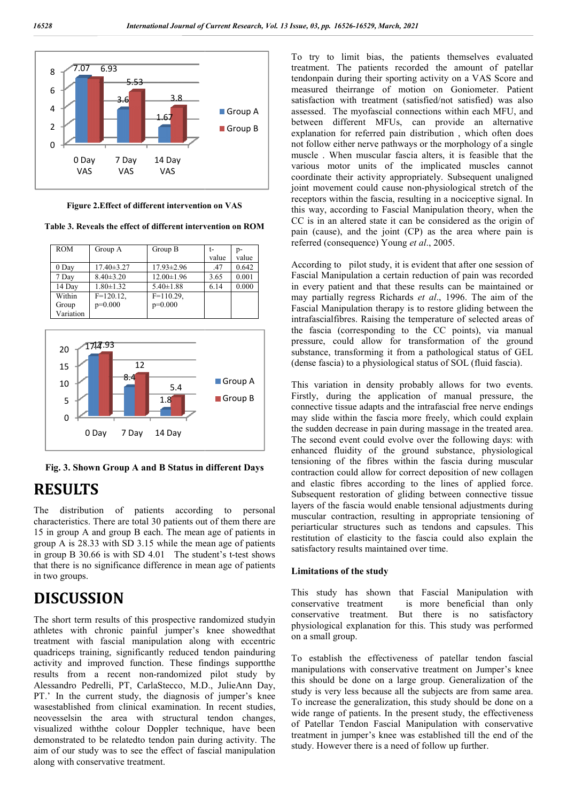

**Figure 2.Effect of different intervention on VAS Effect** 

**Table 3. Reveals the effect of different intervention on ROM**

| <b>ROM</b> | Group A          | Group B          |       | p-    |
|------------|------------------|------------------|-------|-------|
|            |                  |                  | value | value |
| $0$ Day    | $17.40 \pm 3.27$ | $17.93 \pm 2.96$ | .47   | 0.642 |
| 7 Day      | $8.40 \pm 3.20$  | $12.00 \pm 1.96$ | 3.65  | 0.001 |
| 14 Day     | $1.80 \pm 1.32$  | $5.40 \pm 1.88$  | 6.14  | 0.000 |
| Within     | $F=120.12$ ,     | $F=110.29$ ,     |       |       |
| Group      | $p=0.000$        | $p=0.000$        |       |       |
| Variation  |                  |                  |       |       |
|            |                  |                  |       |       |



**Fig. 3. Shown Group A and B Status in different Days**

## **RESULTS**

The distribution of patients according to personal characteristics. There are total 30 patients out of them there are 15 in group A and group B each. The mean age of patients in group A is 28.33 with SD 3.15 while the mean age of patients in group  $B$  30.66 is with SD 4.01 The student's t-test shows that there is no significance difference in mean age of patients in two groups.

# **DISCUSSION**

The short term results of this prospective randomized studyin athletes with chronic painful jumper's knee showedthat treatment with fascial manipulation along with eccentric quadriceps training, significantly reduced tendon painduring activity and improved function. These findings supportthe results from a recent non-randomized pilot study by Alessandro Pedrelli, PT, CarlaStecco, M.D., JulieAnn Day, PT.' In the current study, the diagnosis of jumper's knee wasestablished from clinical examination. In recent studies, neovesselsin the area with structural tendon changes, visualized withthe colour Doppler technique, have been demonstrated to be relatedto tendon pain during activity. The aim of our study was to see the effect of fascial manipulation along with conservative treatment. atment with fascial manipulation alor<br>adriceps training, significantly reduced<br>ivity and improved function. These fi<br>ults from a recent non-randomized

To try to limit bias, the patients themselves evaluated To try to limit bias, the patients themselves evaluated treatment. The patients recorded the amount of patellar tendonpain during their sporting activity on a VAS Score and measured theirrange of motion on Goniometer. Patient satisfaction with treatment (satisfied/not satisfied) was also assessed. The myofascial connections within each MFU, and between different MFUs, can provide an alternative explanation for referred pain distribution , which often does not follow either nerve pathways or the morphology of a single muscle . When muscular fascia alters, it is feasible that the various motor units of the implicated muscles cannot coordinate their activity appropriately. Subsequent unaligned joint movement could cause non-physiological stretch of the receptors within the fascia, resulting in a nociceptive signal. In receptors within the fascia, resulting in a nociceptive signal. In this way, according to Fascial Manipulation theory, when the CC is in an altered state it can be considered as the origin of pain (cause), and the joint (CP) as the area where pain is referred (consequence) Young *et al.*, 2005. pain (cause), and the joint (CP) as the area where pain is referred (consequence) Young *et al* donpain during their sporting activity on a VAS Score and<br>asured theirrange of motion on Goniometer. Patient<br>isfaction with treatment (satisfied/not satisfied) was also<br>essed. The myofascial connections within each MFU, an

According to pilot study, it is evident that after one session of Fascial Manipulation a certain reduction of pain was recorded in every patient and that these results can be maintained or may partially regress Richards et al., 1996. The aim of the Fascial Manipulation therapy is to restore gliding between the intrafascialfibres. Raising the temperature of selected areas of the fascia (corresponding to the CC points), via manual pressure, could allow for transformation of the ground substance, transforming it from a pathological status of GEL (dense fascia) to a physiological status of SOL (fluid fascia). Manipulation a certain reduction of pain was recorded<br>y patient and that these results can be maintained or<br>rtially regress Richards *et al.*, 1996. The aim of the cial Manipulation therapy is to restore gliding between the afascialfibres. Raising the temperature of selected areas of fascia (corresponding to the CC points), via manual ssure, could allow for transformation of the grou

This variation in density probably allows for two events. Firstly, during the application of manual pressure, the connective tissue adapts and the intrafascial free nerve endings may slide within the fascia more freely, which could explain the sudden decrease in pain during massage in the treated area. The second event could evolve over the following days: with enhanced fluidity of the ground substance, physiological tensioning of the fibres within the fascia durin contraction could allow for correct deposition of new collagen and elastic fibres according to the lines of applied force. Subsequent restoration of gliding between connective tissue layers of the fascia would enable tensional adjustments during muscular contraction, resulting in appropriate tensioning of periarticular structures such as tendons and capsules. This restitution of elasticity to the fascia could also explain the satisfactory results maintained over time. udden decrease in pain during massage in the treated area.<br>second event could evolve over the following days: with<br>nced fluidity of the ground substance, physiological<br>oning of the fibres within the fascia during muscular contraction could allow for correct deposition of new collagen<br>and elastic fibres according to the lines of applied force.<br>Subsequent restoration of gliding between connective tissue<br>layers of the fascia would enable tensi

#### **Limitations of the study**

This study has shown that Fascial Manipulation with conservative treatment is more beneficial than only conservative treatment. But there is no satisfactory physiological explanation for this. on a small group.

To establish the effectiveness of patellar tendon fascial manipulations with conservative treatment on Jumper's knee this should be done on a large group. study is very less because all the subjects are from same area. To increase the generalization, this study should be done on a wide range of patients. In the present study, the effectiveness of Patellar Tendon Fascial Manipulation with conservative treatment in jumper's knee was established till the end of the study. However there is a need of follow up further. he effectiveness of patellar tendon fascial<br>with conservative treatment on Jumper's knee<br>done on a large group. Generalization of the study is very less because all the subjects are from same a<br>To increase the generalization, this study should be done c<br>wide range of patients. In the present study, the effectiver<br>of Patellar Tendon Fascial Manipulation w